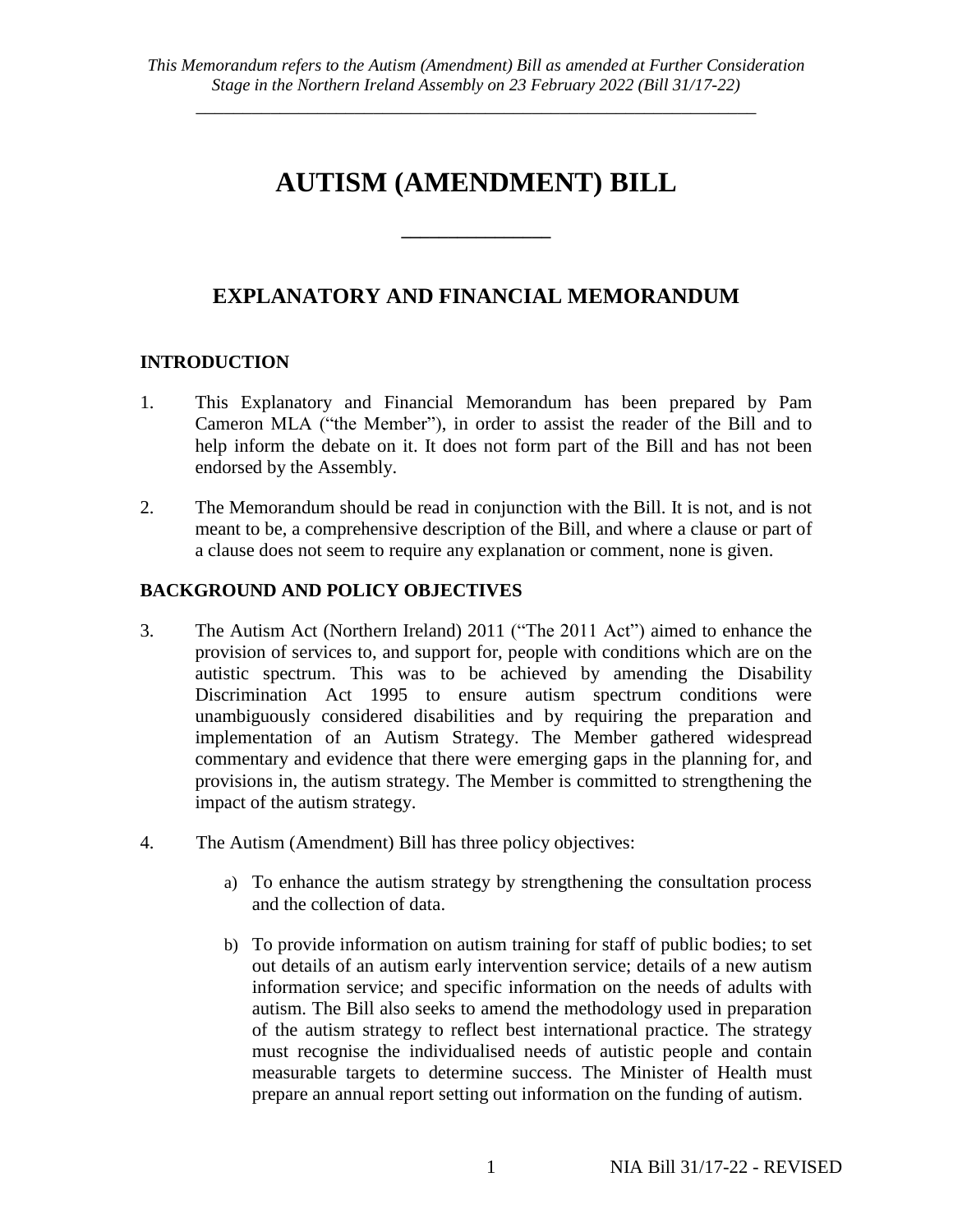*\_\_\_\_\_\_\_\_\_\_\_\_\_\_\_\_\_\_\_\_\_\_\_\_\_\_\_\_\_\_\_\_\_\_\_\_\_\_\_\_\_\_\_\_\_\_\_\_\_\_\_\_\_\_\_\_\_\_\_\_*

# **AUTISM (AMENDMENT) BILL**

**\_\_\_\_\_\_\_\_\_\_\_\_\_\_\_\_**

# **EXPLANATORY AND FINANCIAL MEMORANDUM**

# **INTRODUCTION**

- 1. This Explanatory and Financial Memorandum has been prepared by Pam Cameron MLA ("the Member"), in order to assist the reader of the Bill and to help inform the debate on it. It does not form part of the Bill and has not been endorsed by the Assembly.
- 2. The Memorandum should be read in conjunction with the Bill. It is not, and is not meant to be, a comprehensive description of the Bill, and where a clause or part of a clause does not seem to require any explanation or comment, none is given.

# **BACKGROUND AND POLICY OBJECTIVES**

- 3. The Autism Act (Northern Ireland) 2011 ("The 2011 Act") aimed to enhance the provision of services to, and support for, people with conditions which are on the autistic spectrum. This was to be achieved by amending the Disability Discrimination Act 1995 to ensure autism spectrum conditions were unambiguously considered disabilities and by requiring the preparation and implementation of an Autism Strategy. The Member gathered widespread commentary and evidence that there were emerging gaps in the planning for, and provisions in, the autism strategy. The Member is committed to strengthening the impact of the autism strategy.
- 4. The Autism (Amendment) Bill has three policy objectives:
	- a) To enhance the autism strategy by strengthening the consultation process and the collection of data.
	- b) To provide information on autism training for staff of public bodies; to set out details of an autism early intervention service; details of a new autism information service; and specific information on the needs of adults with autism. The Bill also seeks to amend the methodology used in preparation of the autism strategy to reflect best international practice. The strategy must recognise the individualised needs of autistic people and contain measurable targets to determine success. The Minister of Health must prepare an annual report setting out information on the funding of autism.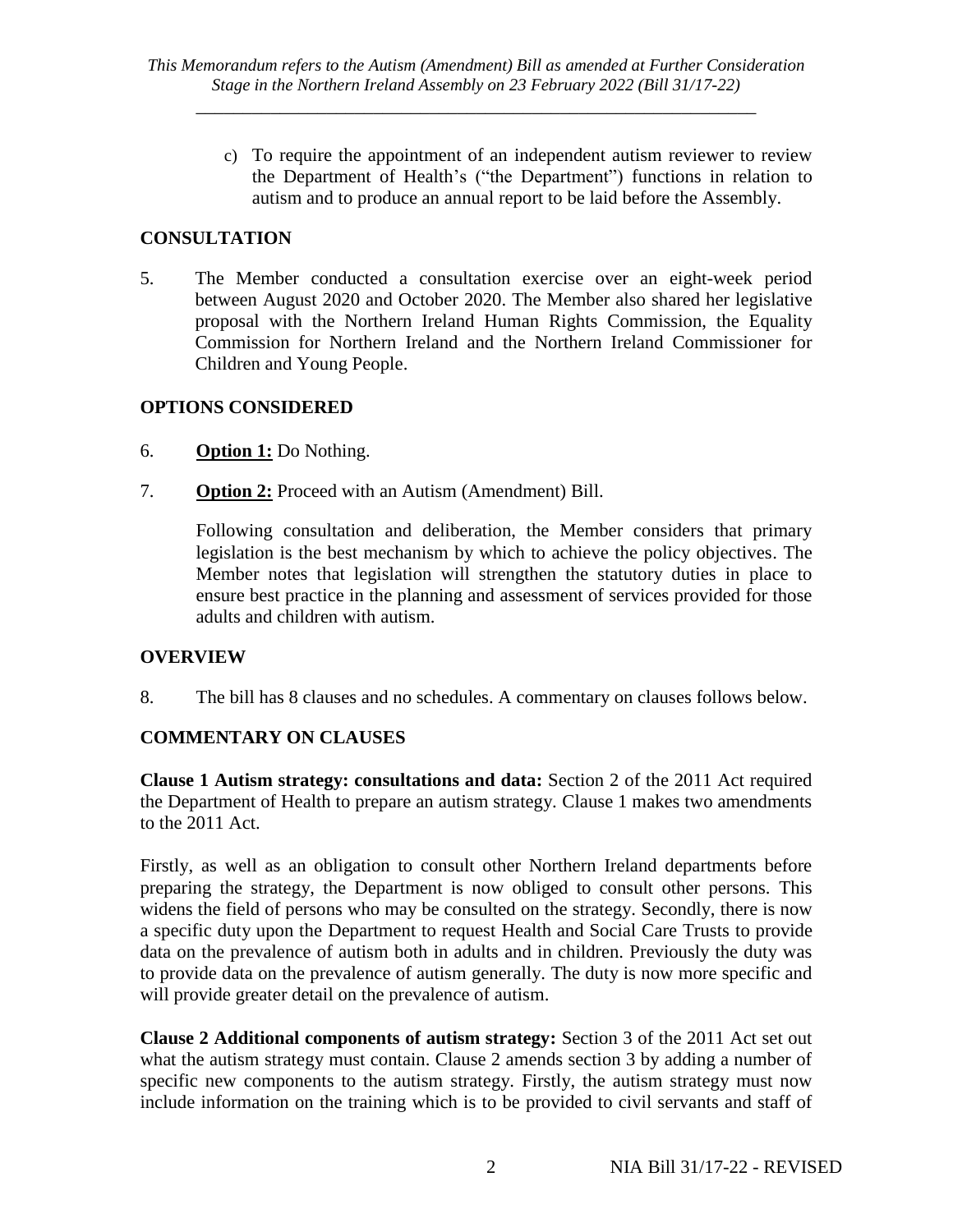*\_\_\_\_\_\_\_\_\_\_\_\_\_\_\_\_\_\_\_\_\_\_\_\_\_\_\_\_\_\_\_\_\_\_\_\_\_\_\_\_\_\_\_\_\_\_\_\_\_\_\_\_\_\_\_\_\_\_\_\_*

c) To require the appointment of an independent autism reviewer to review the Department of Health's ("the Department") functions in relation to autism and to produce an annual report to be laid before the Assembly.

# **CONSULTATION**

5. The Member conducted a consultation exercise over an eight-week period between August 2020 and October 2020. The Member also shared her legislative proposal with the Northern Ireland Human Rights Commission, the Equality Commission for Northern Ireland and the Northern Ireland Commissioner for Children and Young People.

#### **OPTIONS CONSIDERED**

- 6. **Option 1:** Do Nothing.
- 7. **Option 2:** Proceed with an Autism (Amendment) Bill.

Following consultation and deliberation, the Member considers that primary legislation is the best mechanism by which to achieve the policy objectives. The Member notes that legislation will strengthen the statutory duties in place to ensure best practice in the planning and assessment of services provided for those adults and children with autism.

#### **OVERVIEW**

8. The bill has 8 clauses and no schedules. A commentary on clauses follows below.

# **COMMENTARY ON CLAUSES**

**Clause 1 Autism strategy: consultations and data:** Section 2 of the 2011 Act required the Department of Health to prepare an autism strategy. Clause 1 makes two amendments to the 2011 Act.

Firstly, as well as an obligation to consult other Northern Ireland departments before preparing the strategy, the Department is now obliged to consult other persons. This widens the field of persons who may be consulted on the strategy. Secondly, there is now a specific duty upon the Department to request Health and Social Care Trusts to provide data on the prevalence of autism both in adults and in children. Previously the duty was to provide data on the prevalence of autism generally. The duty is now more specific and will provide greater detail on the prevalence of autism.

**Clause 2 Additional components of autism strategy:** Section 3 of the 2011 Act set out what the autism strategy must contain. Clause 2 amends section 3 by adding a number of specific new components to the autism strategy. Firstly, the autism strategy must now include information on the training which is to be provided to civil servants and staff of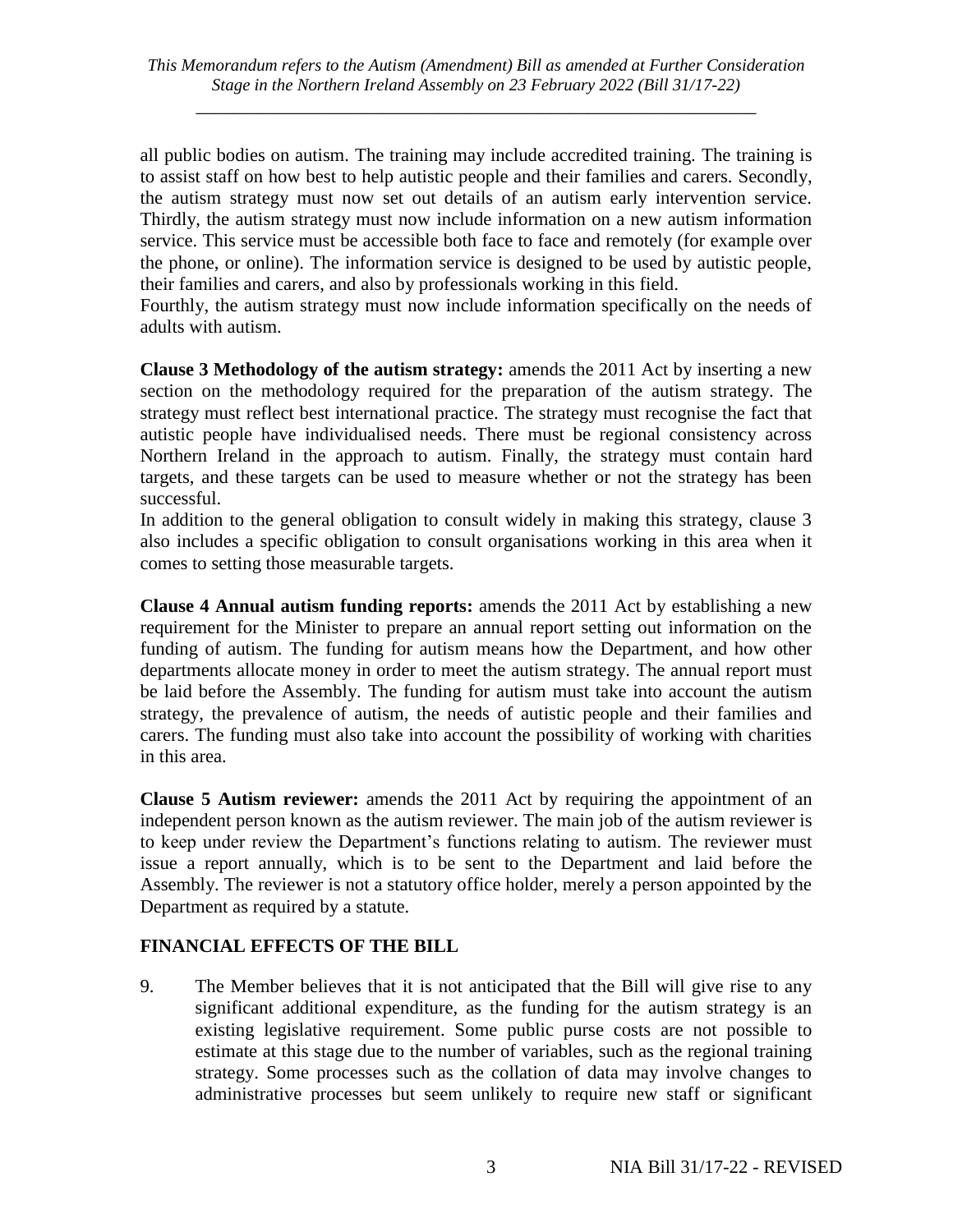*\_\_\_\_\_\_\_\_\_\_\_\_\_\_\_\_\_\_\_\_\_\_\_\_\_\_\_\_\_\_\_\_\_\_\_\_\_\_\_\_\_\_\_\_\_\_\_\_\_\_\_\_\_\_\_\_\_\_\_\_*

all public bodies on autism. The training may include accredited training. The training is to assist staff on how best to help autistic people and their families and carers. Secondly, the autism strategy must now set out details of an autism early intervention service. Thirdly, the autism strategy must now include information on a new autism information service. This service must be accessible both face to face and remotely (for example over the phone, or online). The information service is designed to be used by autistic people, their families and carers, and also by professionals working in this field.

Fourthly, the autism strategy must now include information specifically on the needs of adults with autism.

**Clause 3 Methodology of the autism strategy:** amends the 2011 Act by inserting a new section on the methodology required for the preparation of the autism strategy. The strategy must reflect best international practice. The strategy must recognise the fact that autistic people have individualised needs. There must be regional consistency across Northern Ireland in the approach to autism. Finally, the strategy must contain hard targets, and these targets can be used to measure whether or not the strategy has been successful.

In addition to the general obligation to consult widely in making this strategy, clause 3 also includes a specific obligation to consult organisations working in this area when it comes to setting those measurable targets.

**Clause 4 Annual autism funding reports:** amends the 2011 Act by establishing a new requirement for the Minister to prepare an annual report setting out information on the funding of autism. The funding for autism means how the Department, and how other departments allocate money in order to meet the autism strategy. The annual report must be laid before the Assembly. The funding for autism must take into account the autism strategy, the prevalence of autism, the needs of autistic people and their families and carers. The funding must also take into account the possibility of working with charities in this area.

**Clause 5 Autism reviewer:** amends the 2011 Act by requiring the appointment of an independent person known as the autism reviewer. The main job of the autism reviewer is to keep under review the Department's functions relating to autism. The reviewer must issue a report annually, which is to be sent to the Department and laid before the Assembly. The reviewer is not a statutory office holder, merely a person appointed by the Department as required by a statute.

# **FINANCIAL EFFECTS OF THE BILL**

9. The Member believes that it is not anticipated that the Bill will give rise to any significant additional expenditure, as the funding for the autism strategy is an existing legislative requirement. Some public purse costs are not possible to estimate at this stage due to the number of variables, such as the regional training strategy. Some processes such as the collation of data may involve changes to administrative processes but seem unlikely to require new staff or significant